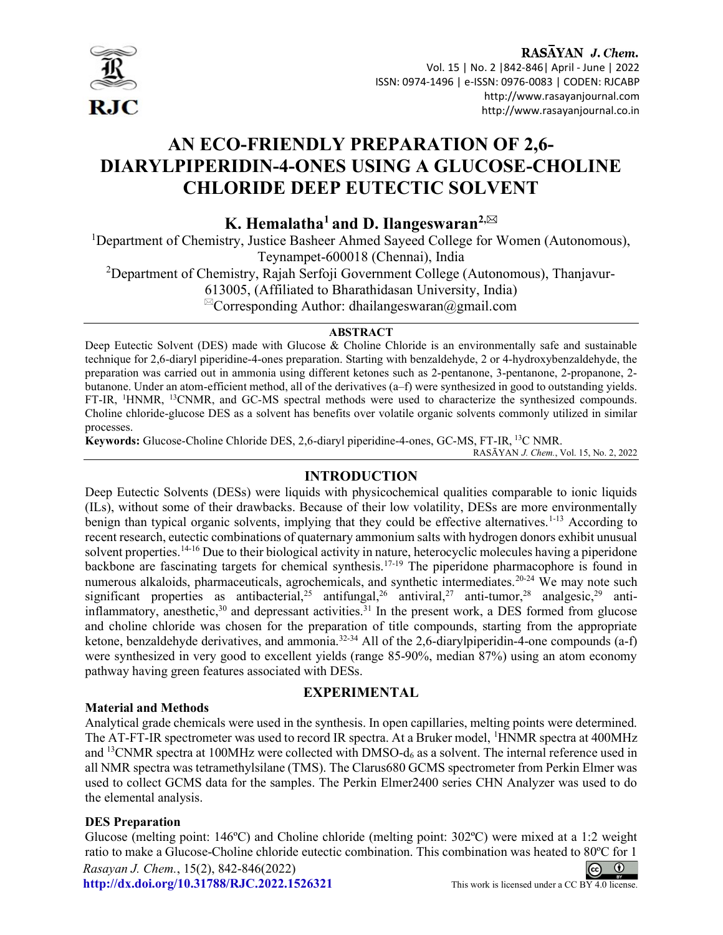

I

### RASAYAN J. Chem. Vol. 15 | No. 2 |842-846| April - June | 2022 ISSN: 0974-1496 | e-ISSN: 0976-0083 | CODEN: RJCABP http://www.rasayanjournal.com http://www.rasayanjournal.co.in

# AN ECO-FRIENDLY PREPARATION OF 2,6- DIARYLPIPERIDIN-4-ONES USING A GLUCOSE-CHOLINE CHLORIDE DEEP EUTECTIC SOLVENT

K. Hemalatha<sup>1</sup> and D. Ilangeswaran<sup>2, $\boxtimes$ </sup>

<sup>1</sup>Department of Chemistry, Justice Basheer Ahmed Sayeed College for Women (Autonomous), Teynampet-600018 (Chennai), India

<sup>2</sup>Department of Chemistry, Rajah Serfoji Government College (Autonomous), Thanjavur-

613005, (Affiliated to Bharathidasan University, India)

 ${}^{\boxtimes}$ Corresponding Author: dhailangeswaran@gmail.com

## ABSTRACT

Deep Eutectic Solvent (DES) made with Glucose & Choline Chloride is an environmentally safe and sustainable technique for 2,6-diaryl piperidine-4-ones preparation. Starting with benzaldehyde, 2 or 4-hydroxybenzaldehyde, the preparation was carried out in ammonia using different ketones such as 2-pentanone, 3-pentanone, 2-propanone, 2 butanone. Under an atom-efficient method, all of the derivatives (a–f) were synthesized in good to outstanding yields. FT-IR, <sup>1</sup>HNMR, <sup>13</sup>CNMR, and GC-MS spectral methods were used to characterize the synthesized compounds. Choline chloride-glucose DES as a solvent has benefits over volatile organic solvents commonly utilized in similar processes.

Keywords: Glucose-Choline Chloride DES, 2,6-diaryl piperidine-4-ones, GC-MS, FT-IR,<sup>13</sup>C NMR.

RASĀYAN J. Chem., Vol. 15, No. 2, 2022

# INTRODUCTION

Deep Eutectic Solvents (DESs) were liquids with physicochemical qualities comparable to ionic liquids (ILs), without some of their drawbacks. Because of their low volatility, DESs are more environmentally benign than typical organic solvents, implying that they could be effective alternatives.<sup>1-13</sup> According to recent research, eutectic combinations of quaternary ammonium salts with hydrogen donors exhibit unusual solvent properties.<sup>14-16</sup> Due to their biological activity in nature, heterocyclic molecules having a piperidone backbone are fascinating targets for chemical synthesis.17-19 The piperidone pharmacophore is found in numerous alkaloids, pharmaceuticals, agrochemicals, and synthetic intermediates.<sup>20-24</sup> We may note such significant properties as antibacterial,<sup>25</sup> antifungal,<sup>26</sup> antiviral,<sup>27</sup> anti-tumor,<sup>28</sup> analgesic,<sup>29</sup> antiinflammatory, anesthetic,<sup>30</sup> and depressant activities.<sup>31</sup> In the present work, a DES formed from glucose and choline chloride was chosen for the preparation of title compounds, starting from the appropriate ketone, benzaldehyde derivatives, and ammonia.<sup>32-34</sup> All of the 2,6-diarylpiperidin-4-one compounds (a-f) were synthesized in very good to excellent yields (range 85-90%, median 87%) using an atom economy pathway having green features associated with DESs.

# EXPERIMENTAL

## Material and Methods

Analytical grade chemicals were used in the synthesis. In open capillaries, melting points were determined. The AT-FT-IR spectrometer was used to record IR spectra. At a Bruker model, <sup>1</sup>HNMR spectra at 400MHz and <sup>13</sup>CNMR spectra at 100MHz were collected with DMSO-d<sub>6</sub> as a solvent. The internal reference used in all NMR spectra was tetramethylsilane (TMS). The Clarus680 GCMS spectrometer from Perkin Elmer was used to collect GCMS data for the samples. The Perkin Elmer2400 series CHN Analyzer was used to do the elemental analysis.

# DES Preparation

Glucose (melting point: 146ºC) and Choline chloride (melting point: 302ºC) were mixed at a 1:2 weight ratio to make a Glucose-Choline chloride eutectic combination. This combination was heated to 80ºC for 1 Rasayan J. Chem., 15(2), 842-846(2022)  $\odot$  $\odot$ http://dx.doi.org/10.31788/RJC.2022.1526321 This work is licensed under a CC BY 4.0 license.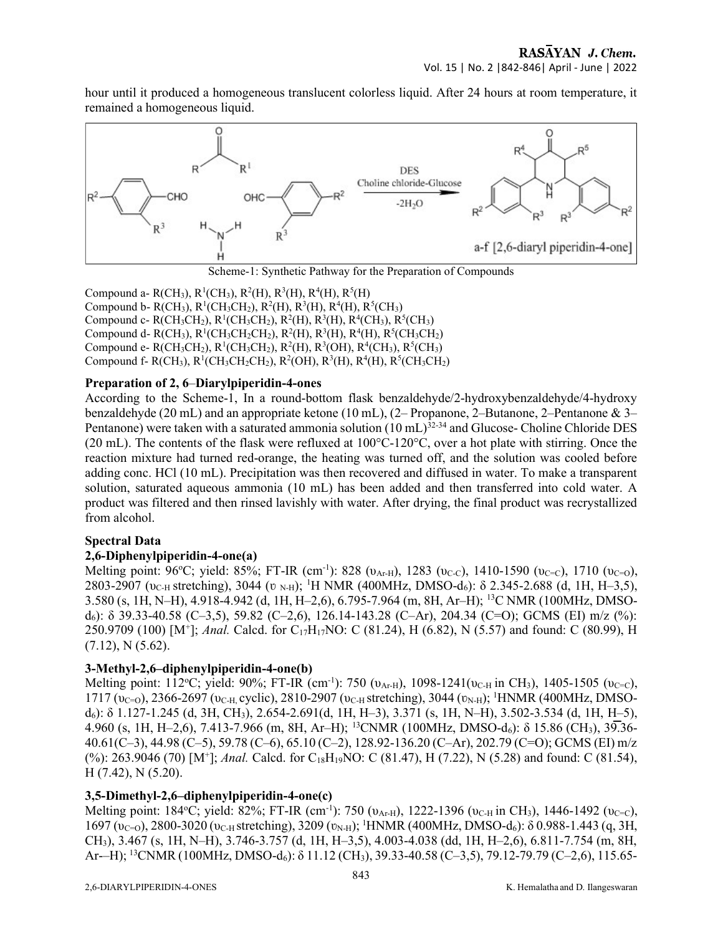hour until it produced a homogeneous translucent colorless liquid. After 24 hours at room temperature, it remained a homogeneous liquid.



Compound a- R(CH<sub>3</sub>), R<sup>1</sup>(CH<sub>3</sub>), R<sup>2</sup>(H), R<sup>3</sup>(H), R<sup>4</sup>(H), R<sup>5</sup>(H) Compound b- R(CH<sub>3</sub>), R<sup>1</sup>(CH<sub>3</sub>CH<sub>2</sub>), R<sup>2</sup>(H), R<sup>3</sup>(H), R<sup>4</sup>(H), R<sup>5</sup>(CH<sub>3</sub>) Compound c- R(CH<sub>3</sub>CH<sub>2</sub>), R<sup>1</sup>(CH<sub>3</sub>CH<sub>2</sub>), R<sup>2</sup>(H), R<sup>3</sup>(H), R<sup>4</sup>(CH<sub>3</sub>), R<sup>5</sup>(CH<sub>3</sub>) Compound d- R(CH<sub>3</sub>), R<sup>1</sup>(CH<sub>3</sub>CH<sub>2</sub>CH<sub>2</sub>), R<sup>2</sup>(H), R<sup>3</sup>(H), R<sup>4</sup>(H), R<sup>5</sup>(CH<sub>3</sub>CH<sub>2</sub>) Compound e- R(CH<sub>3</sub>CH<sub>2</sub>), R<sup>1</sup>(CH<sub>3</sub>CH<sub>2</sub>), R<sup>2</sup>(H), R<sup>3</sup>(OH), R<sup>4</sup>(CH<sub>3</sub>), R<sup>5</sup>(CH<sub>3</sub>) Compound f- R(CH<sub>3</sub>), R<sup>1</sup>(CH<sub>3</sub>CH<sub>2</sub>CH<sub>2</sub>), R<sup>2</sup>(OH), R<sup>3</sup>(H), R<sup>4</sup>(H), R<sup>5</sup>(CH<sub>3</sub>CH<sub>2</sub>)

## Preparation of 2, 6–Diarylpiperidin-4-ones

According to the Scheme-1, In a round-bottom flask benzaldehyde/2-hydroxybenzaldehyde/4-hydroxy benzaldehyde (20 mL) and an appropriate ketone (10 mL), (2– Propanone, 2–Butanone, 2–Pentanone & 3– Pentanone) were taken with a saturated ammonia solution  $(10 \text{ mL})^{32\text{-}34}$  and Glucose- Choline Chloride DES (20 mL). The contents of the flask were refluxed at  $100^{\circ}$ C-120°C, over a hot plate with stirring. Once the reaction mixture had turned red-orange, the heating was turned off, and the solution was cooled before adding conc. HCl (10 mL). Precipitation was then recovered and diffused in water. To make a transparent solution, saturated aqueous ammonia (10 mL) has been added and then transferred into cold water. A product was filtered and then rinsed lavishly with water. After drying, the final product was recrystallized from alcohol.

## Spectral Data

## 2,6-Diphenylpiperidin-4-one(a)

Melting point: 96°C; yield: 85%; FT-IR (cm<sup>-1</sup>): 828 (υ<sub>Ar-H</sub>), 1283 (υ<sub>C-C</sub>), 1410-1590 (υ<sub>C-C</sub>), 1710 (υ<sub>C-C</sub>), 2803-2907 ( $v_{C-H}$  stretching), 3044 ( $v_{N-H}$ ); <sup>1</sup>H NMR (400MHz, DMSO-d<sub>6</sub>): δ 2.345-2.688 (d, 1H, H–3,5), 3.580 (s, 1H, N–H), 4.918-4.942 (d, 1H, H–2,6), 6.795-7.964 (m, 8H, Ar–H); 13C NMR (100MHz, DMSO $d_6$ ): δ 39.33-40.58 (C–3,5), 59.82 (C–2,6), 126.14-143.28 (C–Ar), 204.34 (C=O); GCMS (EI) m/z (%): 250.9709 (100) [M<sup>+</sup>]; Anal. Calcd. for C<sub>17</sub>H<sub>17</sub>NO: C (81.24), H (6.82), N (5.57) and found: C (80.99), H  $(7.12)$ , N $(5.62)$ .

## 3-Methyl-2,6–diphenylpiperidin-4-one(b)

Melting point: 112°C; yield: 90%; FT-IR (cm<sup>-1</sup>): 750 ( $v_{Ar-H}$ ), 1098-1241( $v_{C-H}$  in CH<sub>3</sub>), 1405-1505 ( $v_{C=C}$ ), 1717 (υ<sub>C=0</sub>), 2366-2697 (υ<sub>C-H,</sub> cyclic), 2810-2907 (υ<sub>C-H</sub> stretching), 3044 (υ<sub>N-H</sub>); <sup>1</sup>HNMR (400MHz, DMSO $d_6$ ): δ 1.127-1.245 (d, 3H, CH<sub>3</sub>), 2.654-2.691(d, 1H, H–3), 3.371 (s, 1H, N–H), 3.502-3.534 (d, 1H, H–5), 4.960 (s, 1H, H–2,6), 7.413-7.966 (m, 8H, Ar–H); <sup>13</sup>CNMR (100MHz, DMSO-d6): δ 15.86 (CH3), 39.36- 40.61(C–3), 44.98 (C–5), 59.78 (C–6), 65.10 (C–2), 128.92-136.20 (C–Ar), 202.79 (C=O); GCMS (EI) m/z (%): 263.9046 (70) [M<sup>+</sup>]; Anal. Calcd. for C<sub>18</sub>H<sub>19</sub>NO: C (81.47), H (7.22), N (5.28) and found: C (81.54), H (7.42), N (5.20).

## 3,5-Dimethyl-2,6–diphenylpiperidin-4-one(c)

Melting point: 184°C; yield: 82%; FT-IR (cm<sup>-1</sup>): 750 (υ<sub>Ar-H</sub>), 1222-1396 (υ<sub>C-H</sub> in CH<sub>3</sub>), 1446-1492 (υ<sub>C=C</sub>),  $1697$  ( $v_{C=0}$ ), 2800-3020 ( $v_{C-H}$  stretching), 3209 ( $v_{N-H}$ ); <sup>1</sup>HNMR (400MHz, DMSO-d<sub>6</sub>):  $\delta$  0.988-1.443 (q, 3H, CH3), 3.467 (s, 1H, N–H), 3.746-3.757 (d, 1H, H–3,5), 4.003-4.038 (dd, 1H, H–2,6), 6.811-7.754 (m, 8H, Ar-–H); <sup>13</sup>CNMR (100MHz, DMSO-d<sub>6</sub>): δ 11.12 (CH<sub>3</sub>), 39.33-40.58 (C–3,5), 79.12-79.79 (C–2,6), 115.65-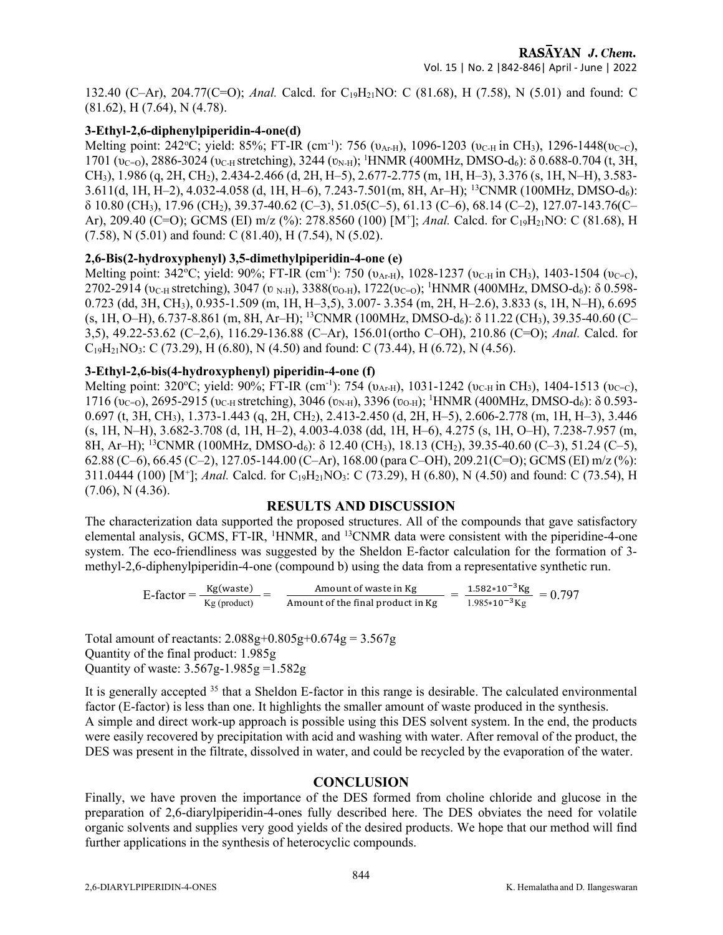132.40 (C–Ar), 204.77(C=O); Anal. Calcd. for C19H21NO: C (81.68), H (7.58), N (5.01) and found: C (81.62), H (7.64), N (4.78).

## 3-Ethyl-2,6-diphenylpiperidin-4-one(d)

Melting point: 242°C; yield: 85%; FT-IR (cm<sup>-1</sup>): 756 ( $v_{A_F}$ H), 1096-1203 ( $v_{C-H}$  in CH<sub>3</sub>), 1296-1448( $v_{C=C}$ ), 1701 ( $v_{C=0}$ ), 2886-3024 ( $v_{C-H}$  stretching), 3244 ( $v_{N-H}$ ); <sup>1</sup>HNMR (400MHz, DMSO-d<sub>6</sub>): δ 0.688-0.704 (t, 3H, CH3), 1.986 (q, 2H, CH2), 2.434-2.466 (d, 2H, H–5), 2.677-2.775 (m, 1H, H–3), 3.376 (s, 1H, N–H), 3.583- 3.611(d, 1H, H–2), 4.032-4.058 (d, 1H, H–6), 7.243-7.501(m, 8H, Ar–H); <sup>13</sup>CNMR (100MHz, DMSO-d<sub>6</sub>): δ 10.80 (CH3), 17.96 (CH2), 39.37-40.62 (C–3), 51.05(C–5), 61.13 (C–6), 68.14 (C–2), 127.07-143.76(C– Ar), 209.40 (C=O); GCMS (EI) m/z (%): 278.8560 (100) [M<sup>+</sup>]; Anal. Calcd. for C<sub>19</sub>H<sub>21</sub>NO: C (81.68), H (7.58), N (5.01) and found: C (81.40), H (7.54), N (5.02).

## 2,6-Bis(2-hydroxyphenyl) 3,5-dimethylpiperidin-4-one (e)

Melting point: 342°C; yield: 90%; FT-IR (cm<sup>-1</sup>): 750 (υ<sub>Ar-H</sub>), 1028-1237 (υ<sub>C-H</sub> in CH<sub>3</sub>), 1403-1504 (υ<sub>C=C</sub>), 2702-2914 ( $v_{\text{C-H}}$  stretching), 3047 ( $v_{\text{N-H}}$ ), 3388( $v_{\text{O-H}}$ ), 1722( $v_{\text{C=O}}$ ); <sup>1</sup>HNMR (400MHz, DMSO-d<sub>6</sub>): δ 0.598-0.723 (dd, 3H, CH3), 0.935-1.509 (m, 1H, H–3,5), 3.007- 3.354 (m, 2H, H–2.6), 3.833 (s, 1H, N–H), 6.695 (s, 1H, O–H), 6.737-8.861 (m, 8H, Ar–H); <sup>13</sup>CNMR (100MHz, DMSO-d6): δ 11.22 (CH3), 39.35-40.60 (C– 3,5), 49.22-53.62 (C–2,6), 116.29-136.88 (C–Ar), 156.01(ortho C–OH), 210.86 (C=O); Anal. Calcd. for  $C_{19}H_{21}NO_3$ : C (73.29), H (6.80), N (4.50) and found: C (73.44), H (6.72), N (4.56).

#### 3-Ethyl-2,6-bis(4-hydroxyphenyl) piperidin-4-one (f)

Melting point: 320°C; yield: 90%; FT-IR (cm<sup>-1</sup>): 754 (υ<sub>Ar-H</sub>), 1031-1242 (υ<sub>C-H</sub> in CH<sub>3</sub>), 1404-1513 (υ<sub>C</sub>-c),  $1716 (v_{C=0})$ , 2695-2915 ( $v_{C-H}$  stretching), 3046 ( $v_{N-H}$ ), 3396 ( $v_{O-H}$ ); <sup>1</sup>HNMR (400MHz, DMSO-d<sub>6</sub>): δ 0.593-0.697 (t, 3H, CH3), 1.373-1.443 (q, 2H, CH2), 2.413-2.450 (d, 2H, H–5), 2.606-2.778 (m, 1H, H–3), 3.446 (s, 1H, N–H), 3.682-3.708 (d, 1H, H–2), 4.003-4.038 (dd, 1H, H–6), 4.275 (s, 1H, O–H), 7.238-7.957 (m, 8H, Ar–H); <sup>13</sup>CNMR (100MHz, DMSO-d<sub>6</sub>): δ 12.40 (CH<sub>3</sub>), 18.13 (CH<sub>2</sub>), 39.35-40.60 (C–3), 51.24 (C–5), 62.88 (C–6), 66.45 (C–2), 127.05-144.00 (C–Ar), 168.00 (para C–OH), 209.21(C=O); GCMS (EI) m/z (%): 311.0444 (100) [M<sup>+</sup>]; Anal. Calcd. for C<sub>19</sub>H<sub>21</sub>NO<sub>3</sub>: C (73.29), H (6.80), N (4.50) and found: C (73.54), H  $(7.06)$ , N $(4.36)$ .

## RESULTS AND DISCUSSION

The characterization data supported the proposed structures. All of the compounds that gave satisfactory elemental analysis, GCMS, FT-IR, <sup>1</sup>HNMR, and <sup>13</sup>CNMR data were consistent with the piperidine-4-one system. The eco-friendliness was suggested by the Sheldon E-factor calculation for the formation of 3 methyl-2,6-diphenylpiperidin-4-one (compound b) using the data from a representative synthetic run.

> $E\text{-factor} = \frac{Kg(waste)}{Kg(produce)} = \frac{Amount of waste in Kg}{Amount of the final product i}$ Amount of the final product in Kg  $=$   $\frac{1.582*10^{-3} \text{Kg}}{1.985*10^{-3} \text{Kg}}$  $\frac{1.362*10 \text{ kg}}{1.985*10^{-3} \text{Kg}} = 0.797$

Total amount of reactants:  $2.088g + 0.805g + 0.674g = 3.567g$ Quantity of the final product: 1.985g Quantity of waste: 3.567g-1.985g =1.582g

It is generally accepted <sup>35</sup> that a Sheldon E-factor in this range is desirable. The calculated environmental factor (E-factor) is less than one. It highlights the smaller amount of waste produced in the synthesis. A simple and direct work-up approach is possible using this DES solvent system. In the end, the products were easily recovered by precipitation with acid and washing with water. After removal of the product, the DES was present in the filtrate, dissolved in water, and could be recycled by the evaporation of the water.

## **CONCLUSION**

Finally, we have proven the importance of the DES formed from choline chloride and glucose in the preparation of 2,6-diarylpiperidin-4-ones fully described here. The DES obviates the need for volatile organic solvents and supplies very good yields of the desired products. We hope that our method will find further applications in the synthesis of heterocyclic compounds.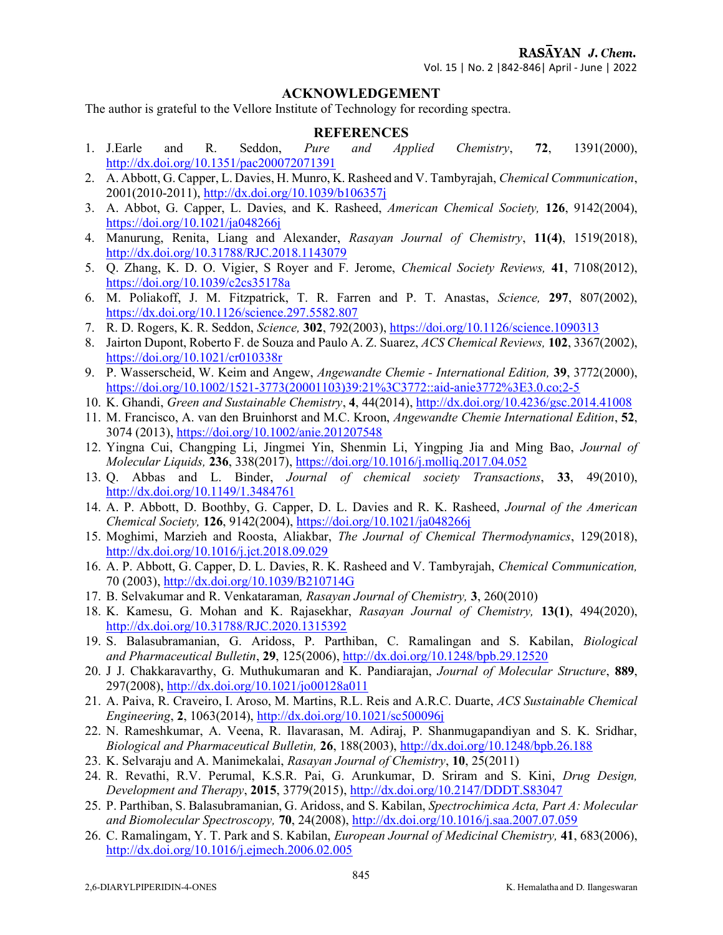#### ACKNOWLEDGEMENT

The author is grateful to the Vellore Institute of Technology for recording spectra.

#### **REFERENCES**

- 1. J.Earle and R. Seddon, Pure and Applied Chemistry, 72, 1391(2000), http://dx.doi.org/10.1351/pac200072071391
- 2. A. Abbott, G. Capper, L. Davies, H. Munro, K. Rasheed and V. Tambyrajah, Chemical Communication, 2001(2010-2011), http://dx.doi.org/10.1039/b106357j
- 3. A. Abbot, G. Capper, L. Davies, and K. Rasheed, American Chemical Society, 126, 9142(2004), https://doi.org/10.1021/ja048266j
- 4. Manurung, Renita, Liang and Alexander, Rasayan Journal of Chemistry, 11(4), 1519(2018), http://dx.doi.org/10.31788/RJC.2018.1143079
- 5. Q. Zhang, K. D. O. Vigier, S Royer and F. Jerome, Chemical Society Reviews, 41, 7108(2012), https://doi.org/10.1039/c2cs35178a
- 6. M. Poliakoff, J. M. Fitzpatrick, T. R. Farren and P. T. Anastas, Science, 297, 807(2002), https://dx.doi.org/10.1126/science.297.5582.807
- 7. R. D. Rogers, K. R. Seddon, Science, 302, 792(2003), https://doi.org/10.1126/science.1090313
- 8. Jairton Dupont, Roberto F. de Souza and Paulo A. Z. Suarez, ACS Chemical Reviews, 102, 3367(2002), https://doi.org/10.1021/cr010338r
- 9. P. Wasserscheid, W. Keim and Angew, Angewandte Chemie International Edition, 39, 3772(2000), https://doi.org/10.1002/1521-3773(20001103)39:21%3C3772::aid-anie3772%3E3.0.co;2-5
- 10. K. Ghandi, Green and Sustainable Chemistry, 4, 44(2014), http://dx.doi.org/10.4236/gsc.2014.41008
- 11. M. Francisco, A. van den Bruinhorst and M.C. Kroon, Angewandte Chemie International Edition, 52, 3074 (2013), https://doi.org/10.1002/anie.201207548
- 12. Yingna Cui, Changping Li, Jingmei Yin, Shenmin Li, Yingping Jia and Ming Bao, Journal of Molecular Liquids, 236, 338(2017), https://doi.org/10.1016/j.molliq.2017.04.052
- 13. Q. Abbas and L. Binder, Journal of chemical society Transactions, 33, 49(2010), http://dx.doi.org/10.1149/1.3484761
- 14. A. P. Abbott, D. Boothby, G. Capper, D. L. Davies and R. K. Rasheed, Journal of the American Chemical Society, 126, 9142(2004), https://doi.org/10.1021/ja048266j
- 15. Moghimi, Marzieh and Roosta, Aliakbar, The Journal of Chemical Thermodynamics, 129(2018), http://dx.doi.org/10.1016/j.jct.2018.09.029
- 16. A. P. Abbott, G. Capper, D. L. Davies, R. K. Rasheed and V. Tambyrajah, Chemical Communication, 70 (2003), http://dx.doi.org/10.1039/B210714G
- 17. B. Selvakumar and R. Venkataraman, Rasayan Journal of Chemistry, 3, 260(2010)
- 18. K. Kamesu, G. Mohan and K. Rajasekhar, Rasayan Journal of Chemistry, 13(1), 494(2020), http://dx.doi.org/10.31788/RJC.2020.1315392
- 19. S. Balasubramanian, G. Aridoss, P. Parthiban, C. Ramalingan and S. Kabilan, Biological and Pharmaceutical Bulletin, 29, 125(2006), http://dx.doi.org/10.1248/bpb.29.12520
- 20. J J. Chakkaravarthy, G. Muthukumaran and K. Pandiarajan, Journal of Molecular Structure, 889, 297(2008), http://dx.doi.org/10.1021/jo00128a011
- 21. A. Paiva, R. Craveiro, I. Aroso, M. Martins, R.L. Reis and A.R.C. Duarte, ACS Sustainable Chemical Engineering, 2, 1063(2014), http://dx.doi.org/10.1021/sc500096j
- 22. N. Rameshkumar, A. Veena, R. Ilavarasan, M. Adiraj, P. Shanmugapandiyan and S. K. Sridhar, Biological and Pharmaceutical Bulletin, 26, 188(2003), http://dx.doi.org/10.1248/bpb.26.188
- 23. K. Selvaraju and A. Manimekalai, Rasayan Journal of Chemistry, 10, 25(2011)
- 24. R. Revathi, R.V. Perumal, K.S.R. Pai, G. Arunkumar, D. Sriram and S. Kini, Drug Design, Development and Therapy, 2015, 3779(2015), http://dx.doi.org/10.2147/DDDT.S83047
- 25. P. Parthiban, S. Balasubramanian, G. Aridoss, and S. Kabilan, Spectrochimica Acta, Part A: Molecular and Biomolecular Spectroscopy, 70, 24(2008), http://dx.doi.org/10.1016/j.saa.2007.07.059
- 26. C. Ramalingam, Y. T. Park and S. Kabilan, European Journal of Medicinal Chemistry, 41, 683(2006), http://dx.doi.org/10.1016/j.ejmech.2006.02.005